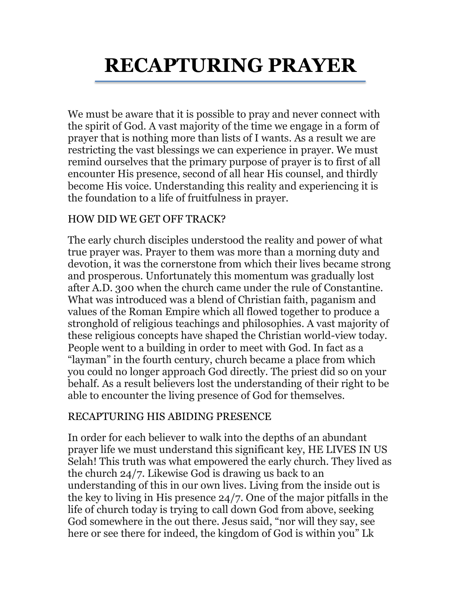# **RECAPTURING PRAYER**

We must be aware that it is possible to pray and never connect with the spirit of God. A vast majority of the time we engage in a form of prayer that is nothing more than lists of I wants. As a result we are restricting the vast blessings we can experience in prayer. We must remind ourselves that the primary purpose of prayer is to first of all encounter His presence, second of all hear His counsel, and thirdly become His voice. Understanding this reality and experiencing it is the foundation to a life of fruitfulness in prayer.

## HOW DID WE GET OFF TRACK?

The early church disciples understood the reality and power of what true prayer was. Prayer to them was more than a morning duty and devotion, it was the cornerstone from which their lives became strong and prosperous. Unfortunately this momentum was gradually lost after A.D. 300 when the church came under the rule of Constantine. What was introduced was a blend of Christian faith, paganism and values of the Roman Empire which all flowed together to produce a stronghold of religious teachings and philosophies. A vast majority of these religious concepts have shaped the Christian world-view today. People went to a building in order to meet with God. In fact as a "layman" in the fourth century, church became a place from which you could no longer approach God directly. The priest did so on your behalf. As a result believers lost the understanding of their right to be able to encounter the living presence of God for themselves.

#### RECAPTURING HIS ABIDING PRESENCE

In order for each believer to walk into the depths of an abundant prayer life we must understand this significant key, HE LIVES IN US Selah! This truth was what empowered the early church. They lived as the church 24/7. Likewise God is drawing us back to an understanding of this in our own lives. Living from the inside out is the key to living in His presence 24/7. One of the major pitfalls in the life of church today is trying to call down God from above, seeking God somewhere in the out there. Jesus said, "nor will they say, see here or see there for indeed, the kingdom of God is within you" Lk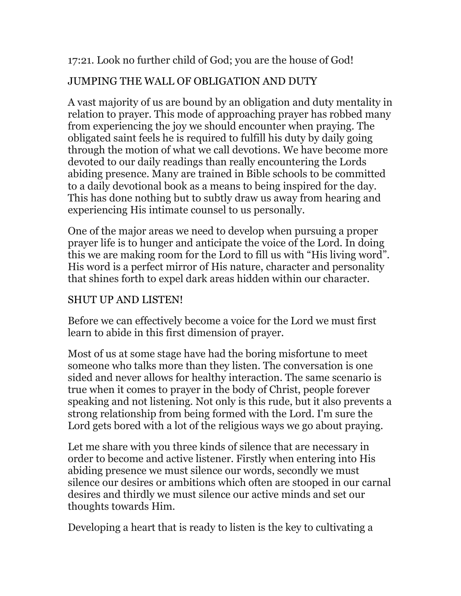17:21. Look no further child of God; you are the house of God!

# JUMPING THE WALL OF OBLIGATION AND DUTY

A vast majority of us are bound by an obligation and duty mentality in relation to prayer. This mode of approaching prayer has robbed many from experiencing the joy we should encounter when praying. The obligated saint feels he is required to fulfill his duty by daily going through the motion of what we call devotions. We have become more devoted to our daily readings than really encountering the Lords abiding presence. Many are trained in Bible schools to be committed to a daily devotional book as a means to being inspired for the day. This has done nothing but to subtly draw us away from hearing and experiencing His intimate counsel to us personally.

One of the major areas we need to develop when pursuing a proper prayer life is to hunger and anticipate the voice of the Lord. In doing this we are making room for the Lord to fill us with "His living word". His word is a perfect mirror of His nature, character and personality that shines forth to expel dark areas hidden within our character.

## SHUT UP AND LISTEN!

Before we can effectively become a voice for the Lord we must first learn to abide in this first dimension of prayer.

Most of us at some stage have had the boring misfortune to meet someone who talks more than they listen. The conversation is one sided and never allows for healthy interaction. The same scenario is true when it comes to prayer in the body of Christ, people forever speaking and not listening. Not only is this rude, but it also prevents a strong relationship from being formed with the Lord. I'm sure the Lord gets bored with a lot of the religious ways we go about praying.

Let me share with you three kinds of silence that are necessary in order to become and active listener. Firstly when entering into His abiding presence we must silence our words, secondly we must silence our desires or ambitions which often are stooped in our carnal desires and thirdly we must silence our active minds and set our thoughts towards Him.

Developing a heart that is ready to listen is the key to cultivating a